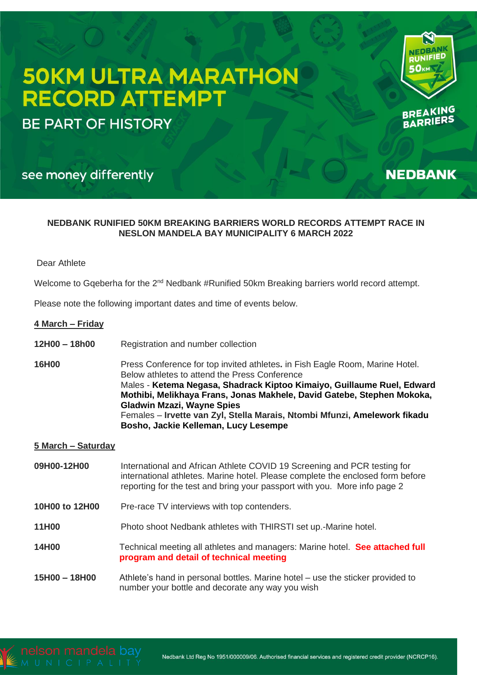# **50KM ULTRA MARATHON RECORD ATTEMPT**

**BE PART OF HISTORY** 



BREATERS

**NEDBANK** 

# see money differently

# **NEDBANK RUNIFIED 50KM BREAKING BARRIERS WORLD RECORDS ATTEMPT RACE IN NESLON MANDELA BAY MUNICIPALITY 6 MARCH 2022**

# Dear Athlete

Welcome to Gqeberha for the 2<sup>nd</sup> Nedbank #Runified 50km Breaking barriers world record attempt.

Please note the following important dates and time of events below.

# **4 March – Friday**

- **12H00 – 18h00** Registration and number collection
- **16H00** Press Conference for top invited athletes**.** in Fish Eagle Room, Marine Hotel. Below athletes to attend the Press Conference Males - **Ketema Negasa, Shadrack Kiptoo Kimaiyo, Guillaume Ruel, Edward Mothibi, Melikhaya Frans, Jonas Makhele, David Gatebe, Stephen Mokoka, Gladwin Mzazi, Wayne Spies** Females – **Irvette van Zyl, Stella Marais, Ntombi Mfunzi, Amelework fikadu Bosho, Jackie Kelleman, Lucy Lesempe**

# **5 March – Saturday**

- **09H00-12H00** International and African Athlete COVID 19 Screening and PCR testing for international athletes. Marine hotel. Please complete the enclosed form before reporting for the test and bring your passport with you. More info page 2
- **10H00 to 12H00** Pre-race TV interviews with top contenders.
- **11H00** Photo shoot Nedbank athletes with THIRSTI set up.-Marine hotel.
- **14H00** Technical meeting all athletes and managers: Marine hotel. **See attached full program and detail of technical meeting**
- **15H00 – 18H00** Athlete's hand in personal bottles. Marine hotel use the sticker provided to number your bottle and decorate any way you wish

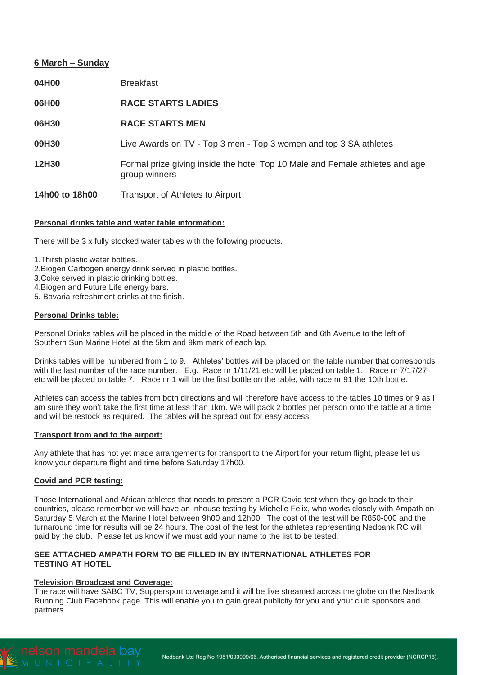# **6 March – Sunday**

| 04H00          | <b>Breakfast</b>                                                                              |
|----------------|-----------------------------------------------------------------------------------------------|
| 06H00          | <b>RACE STARTS LADIES</b>                                                                     |
| 06H30          | <b>RACE STARTS MEN</b>                                                                        |
| 09H30          | Live Awards on TV - Top 3 men - Top 3 women and top 3 SA athletes                             |
| 12H30          | Formal prize giving inside the hotel Top 10 Male and Female athletes and age<br>group winners |
| 14h00 to 18h00 | Transport of Athletes to Airport                                                              |

# **Personal drinks table and water table information:**

There will be 3 x fully stocked water tables with the following products.

1.Thirsti plastic water bottles.

2.Biogen Carbogen energy drink served in plastic bottles.

3.Coke served in plastic drinking bottles.

4.Biogen and Future Life energy bars.

5. Bavaria refreshment drinks at the finish.

# **Personal Drinks table:**

Personal Drinks tables will be placed in the middle of the Road between 5th and 6th Avenue to the left of Southern Sun Marine Hotel at the 5km and 9km mark of each lap.

Drinks tables will be numbered from 1 to 9. Athletes' bottles will be placed on the table number that corresponds with the last number of the race number. E.g. Race nr  $1/11/21$  etc will be placed on table 1. Race nr  $7/17/27$ etc will be placed on table 7. Race nr 1 will be the first bottle on the table, with race nr 91 the 10th bottle.

Athletes can access the tables from both directions and will therefore have access to the tables 10 times or 9 as I am sure they won't take the first time at less than 1km. We will pack 2 bottles per person onto the table at a time and will be restock as required. The tables will be spread out for easy access.

# **Transport from and to the airport:**

Any athlete that has not yet made arrangements for transport to the Airport for your return flight, please let us know your departure flight and time before Saturday 17h00.

#### **Covid and PCR testing:**

Those International and African athletes that needs to present a PCR Covid test when they go back to their countries, please remember we will have an inhouse testing by Michelle Felix, who works closely with Ampath on Saturday 5 March at the Marine Hotel between 9h00 and 12h00. The cost of the test will be R850-000 and the turnaround time for results will be 24 hours. The cost of the test for the athletes representing Nedbank RC will paid by the club. Please let us know if we must add your name to the list to be tested.

# **SEE ATTACHED AMPATH FORM TO BE FILLED IN BY INTERNATIONAL ATHLETES FOR TESTING AT HOTEL**

#### **Television Broadcast and Coverage:**

The race will have SABC TV, Suppersport coverage and it will be live streamed across the globe on the Nedbank Running Club Facebook page. This will enable you to gain great publicity for you and your club sponsors and partners.

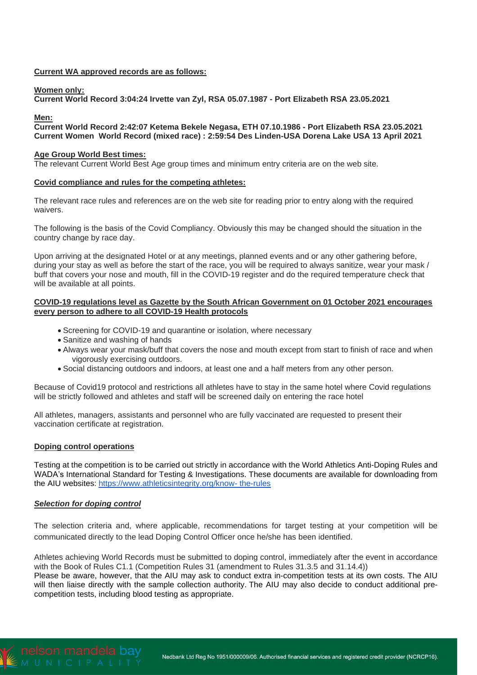# **Current WA approved records are as follows:**

#### **Women only:**

**Current World Record 3:04:24 Irvette van Zyl, RSA 05.07.1987 - Port Elizabeth RSA 23.05.2021**

#### **Men:**

**Current World Record 2:42:07 Ketema Bekele Negasa, ETH 07.10.1986 - Port Elizabeth RSA 23.05.2021 Current Women World Record (mixed race) : 2:59:54 Des Linden-USA Dorena Lake USA 13 April 2021**

#### **Age Group World Best times:**

The relevant Current World Best Age group times and minimum entry criteria are on the web site.

#### **Covid compliance and rules for the competing athletes:**

The relevant race rules and references are on the web site for reading prior to entry along with the required waivers.

The following is the basis of the Covid Compliancy. Obviously this may be changed should the situation in the country change by race day.

Upon arriving at the designated Hotel or at any meetings, planned events and or any other gathering before, during your stay as well as before the start of the race, you will be required to always sanitize, wear your mask / buff that covers your nose and mouth, fill in the COVID-19 register and do the required temperature check that will be available at all points.

#### **COVID-19 regulations level as Gazette by the South African Government on 01 October 2021 encourages every person to adhere to all COVID-19 Health protocols**

- Screening for COVID-19 and quarantine or isolation, where necessary
- Sanitize and washing of hands
- Always wear your mask/buff that covers the nose and mouth except from start to finish of race and when vigorously exercising outdoors.
- Social distancing outdoors and indoors, at least one and a half meters from any other person.

Because of Covid19 protocol and restrictions all athletes have to stay in the same hotel where Covid regulations will be strictly followed and athletes and staff will be screened daily on entering the race hotel

All athletes, managers, assistants and personnel who are fully vaccinated are requested to present their vaccination certificate at registration.

#### **Doping control operations**

Testing at the competition is to be carried out strictly in accordance with the World Athletics Anti-Doping Rules and WADA's International Standard for Testing & Investigations. These documents are available for downloading from the AIU websites: [https://www.athleticsintegrity.org/know-](https://www.athleticsintegrity.org/know-%20the-rules) the-rules

#### *Selection for doping control*

The selection criteria and, where applicable, recommendations for target testing at your competition will be communicated directly to the lead Doping Control Officer once he/she has been identified.

Athletes achieving World Records must be submitted to doping control, immediately after the event in accordance with the Book of Rules C1.1 (Competition Rules 31 (amendment to Rules 31.3.5 and 31.14.4))

Please be aware, however, that the AIU may ask to conduct extra in-competition tests at its own costs. The AIU will then liaise directly with the sample collection authority. The AIU may also decide to conduct additional precompetition tests, including blood testing as appropriate.